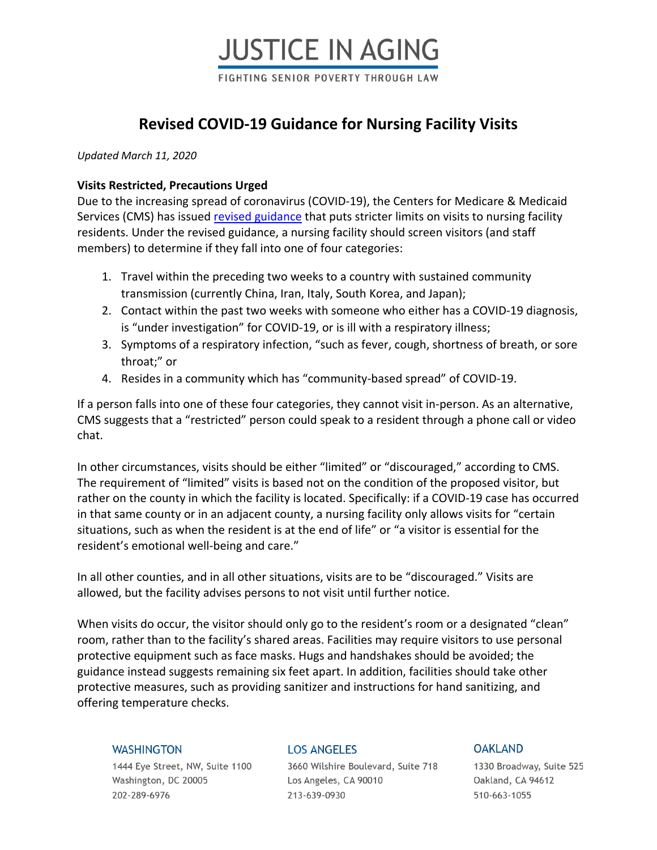# **JUSTICE IN AGING** FIGHTING SENIOR POVERTY THROUGH LAW

### **Revised COVID-19 Guidance for Nursing Facility Visits**

*Updated March 11, 2020*

#### **Visits Restricted, Precautions Urged**

Due to the increasing spread of coronavirus (COVID-19), the Centers for Medicare & Medicaid Services (CMS) has issued [revised guidance](https://www.cms.gov/files/document/qso-20-14-nh-revised.pdf) that puts stricter limits on visits to nursing facility residents. Under the revised guidance, a nursing facility should screen visitors (and staff members) to determine if they fall into one of four categories:

- 1. Travel within the preceding two weeks to a country with sustained community transmission (currently China, Iran, Italy, South Korea, and Japan);
- 2. Contact within the past two weeks with someone who either has a COVID-19 diagnosis, is "under investigation" for COVID-19, or is ill with a respiratory illness;
- 3. Symptoms of a respiratory infection, "such as fever, cough, shortness of breath, or sore throat;" or
- 4. Resides in a community which has "community-based spread" of COVID-19.

If a person falls into one of these four categories, they cannot visit in-person. As an alternative, CMS suggests that a "restricted" person could speak to a resident through a phone call or video chat.

In other circumstances, visits should be either "limited" or "discouraged," according to CMS. The requirement of "limited" visits is based not on the condition of the proposed visitor, but rather on the county in which the facility is located. Specifically: if a COVID-19 case has occurred in that same county or in an adjacent county, a nursing facility only allows visits for "certain situations, such as when the resident is at the end of life" or "a visitor is essential for the resident's emotional well-being and care."

In all other counties, and in all other situations, visits are to be "discouraged." Visits are allowed, but the facility advises persons to not visit until further notice.

When visits do occur, the visitor should only go to the resident's room or a designated "clean" room, rather than to the facility's shared areas. Facilities may require visitors to use personal protective equipment such as face masks. Hugs and handshakes should be avoided; the guidance instead suggests remaining six feet apart. In addition, facilities should take other protective measures, such as providing sanitizer and instructions for hand sanitizing, and offering temperature checks.

#### **WASHINGTON**

1444 Eye Street, NW, Suite 1100 Washington, DC 20005 202-289-6976

#### **LOS ANGELES**

3660 Wilshire Boulevard, Suite 718 Los Angeles, CA 90010 213-639-0930

#### **OAKLAND**

1330 Broadway, Suite 525 Oakland, CA 94612 510-663-1055